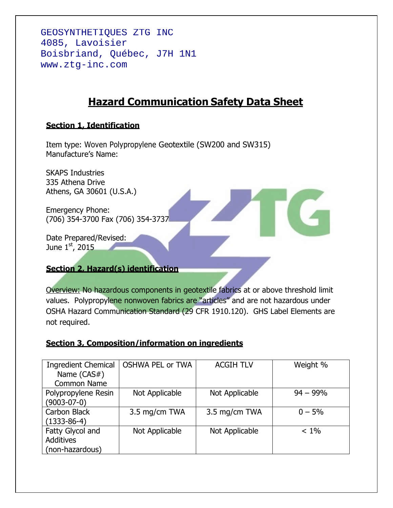GÉOSYNTHÉTIQUES ZTG INC 4085, Lavoisier Boisbriand, Québec, J7H 1N1 www.ztg-inc.com

# **Hazard Communication Safety Data Sheet**

# **Section 1, Identification**

Item type: Woven Polypropylene Geotextile (SW200 and SW315) Manufacture's Name:

SKAPS Industries 335 Athena Drive Athens, GA 30601 (U.S.A.)

Emergency Phone: (706) 354-3700 Fax (706) 354-3737

Date Prepared/Revised: June 1st, 2015

# **Section 2, Hazard(s) identification**

Overview: No hazardous components in geotextile fabrics at or above threshold limit values. Polypropylene nonwoven fabrics are "articles" and are not hazardous under OSHA Hazard Communication Standard (29 CFR 1910.120). GHS Label Elements are not required.

# **Section 3, Composition/information on ingredients**

| <b>Ingredient Chemical</b><br>Name (CAS#) | <b>OSHWA PEL or TWA</b> | <b>ACGIH TLV</b> | Weight %    |
|-------------------------------------------|-------------------------|------------------|-------------|
| Common Name                               |                         |                  |             |
| Polypropylene Resin                       | Not Applicable          | Not Applicable   | $94 - 99\%$ |
| $(9003 - 07 - 0)$                         |                         |                  |             |
| Carbon Black                              | 3.5 mg/cm TWA           | 3.5 mg/cm TWA    | $0 - 5%$    |
| $(1333-86-4)$                             |                         |                  |             |
| Fatty Glycol and                          | Not Applicable          | Not Applicable   | $< 1\%$     |
| <b>Additives</b>                          |                         |                  |             |
| (non-hazardous)                           |                         |                  |             |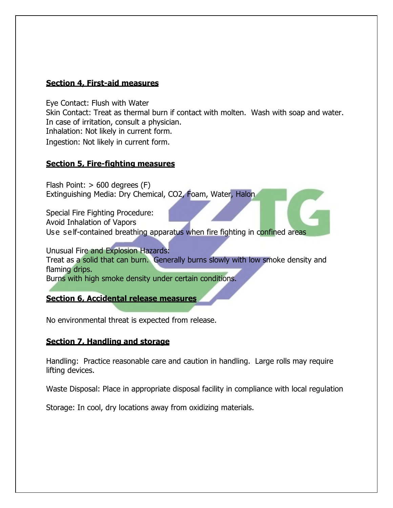#### **Section 4, First-aid measures**

Eye Contact: Flush with Water

Skin Contact: Treat as thermal burn if contact with molten. Wash with soap and water. In case of irritation, consult a physician.

Inhalation: Not likely in current form.

Ingestion: Not likely in current form.

# **Section 5, Fire-fighting measures**

Flash Point: > 600 degrees (F) Extinguishing Media: Dry Chemical, CO2, Foam, Water, Halon

Special Fire Fighting Procedure: Avoid Inhalation of Vapors Use self-contained breathing apparatus when fire fighting in confined areas

Unusual Fire and Explosion Hazards: Treat as a solid that can burn. Generally burns slowly with low smoke density and flaming drips. Burns with high smoke density under certain conditions.

**Section 6, Accidental release measures**

No environmental threat is expected from release.

#### **Section 7, Handling and storage**

Handling: Practice reasonable care and caution in handling. Large rolls may require lifting devices.

Waste Disposal: Place in appropriate disposal facility in compliance with local regulation

Storage: In cool, dry locations away from oxidizing materials.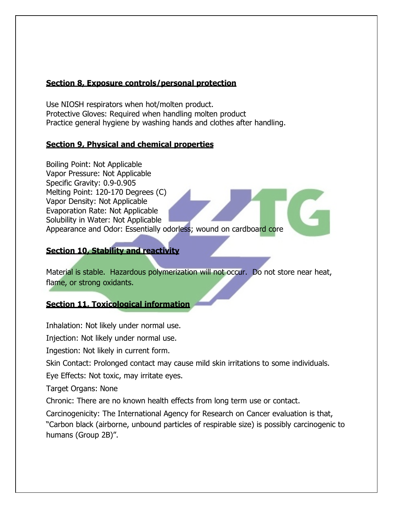#### **Section 8, Exposure controls/personal protection**

Use NIOSH respirators when hot/molten product. Protective Gloves: Required when handling molten product Practice general hygiene by washing hands and clothes after handling.

#### **Section 9, Physical and chemical properties**

Boiling Point: Not Applicable Vapor Pressure: Not Applicable Specific Gravity: 0.9-0.905 Melting Point: 120-170 Degrees (C) Vapor Density: Not Applicable Evaporation Rate: Not Applicable Solubility in Water: Not Applicable Appearance and Odor: Essentially odorless; wound on cardboard core

#### **Section 10, Stability and reactivity**

Material is stable. Hazardous polymerization will not occur. Do not store near heat, flame, or strong oxidants.

# **Section 11, Toxicological information**

Inhalation: Not likely under normal use.

Injection: Not likely under normal use.

Ingestion: Not likely in current form.

Skin Contact: Prolonged contact may cause mild skin irritations to some individuals.

Eye Effects: Not toxic, may irritate eyes.

Target Organs: None

Chronic: There are no known health effects from long term use or contact.

Carcinogenicity: The International Agency for Research on Cancer evaluation is that, "Carbon black (airborne, unbound particles of respirable size) is possibly carcinogenic to humans (Group 2B)".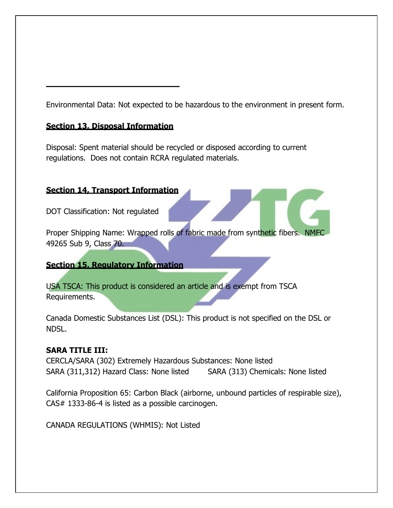Environmental Data: Not expected to be hazardous to the environment in present form.

#### **Section 13, Disposal Information**

Disposal: Spent material should be recycled or disposed according to current regulations. Does not contain RCRA regulated materials.

# **Section 14, Transport Information**

DOT Classification: Not regulated

Proper Shipping Name: Wrapped rolls of fabric made from synthetic fibers. NMFC 49265 Sub 9, Class 70.

# **Section 15, Regulatory Information**

USA TSCA: This product is considered an article and is exempt from TSCA Requirements.

Canada Domestic Substances List (DSL): This product is not specified on the DSL or NDSL.

# **SARA TITLE III:**

CERCLA/SARA (302) Extremely Hazardous Substances: None listed SARA (311,312) Hazard Class: None listed SARA (313) Chemicals: None listed

California Proposition 65: Carbon Black (airborne, unbound particles of respirable size), CAS# 1333-86-4 is listed as a possible carcinogen.

CANADA REGULATIONS (WHMIS): Not Listed